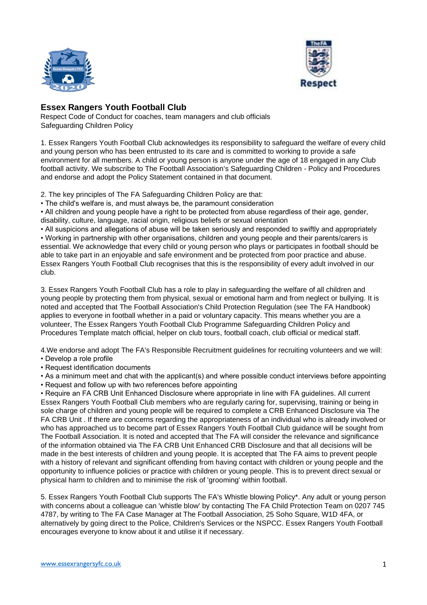



## **Essex Rangers Youth Football Club**

Respect Code of Conduct for coaches, team managers and club officials Safeguarding Children Policy

1. Essex Rangers Youth Football Club acknowledges its responsibility to safeguard the welfare of every child and young person who has been entrusted to its care and is committed to working to provide a safe environment for all members. A child or young person is anyone under the age of 18 engaged in any Club football activity. We subscribe to The Football Association's Safeguarding Children - Policy and Procedures and endorse and adopt the Policy Statement contained in that document.

2. The key principles of The FA Safeguarding Children Policy are that:

• The child's welfare is, and must always be, the paramount consideration

• All children and young people have a right to be protected from abuse regardless of their age, gender, disability, culture, language, racial origin, religious beliefs or sexual orientation

• All suspicions and allegations of abuse will be taken seriously and responded to swiftly and appropriately • Working in partnership with other organisations, children and young people and their parents/carers is essential. We acknowledge that every child or young person who plays or participates in football should be able to take part in an enjoyable and safe environment and be protected from poor practice and abuse. Essex Rangers Youth Football Club recognises that this is the responsibility of every adult involved in our club.

3. Essex Rangers Youth Football Club has a role to play in safeguarding the welfare of all children and young people by protecting them from physical, sexual or emotional harm and from neglect or bullying. It is noted and accepted that The Football Association's Child Protection Regulation (see The FA Handbook) applies to everyone in football whether in a paid or voluntary capacity. This means whether you are a volunteer, The Essex Rangers Youth Football Club Programme Safeguarding Children Policy and Procedures Template match official, helper on club tours, football coach, club official or medical staff.

4.We endorse and adopt The FA's Responsible Recruitment guidelines for recruiting volunteers and we will:

- Develop a role profile
- Request identification documents

• As a minimum meet and chat with the applicant(s) and where possible conduct interviews before appointing

• Request and follow up with two references before appointing

• Require an FA CRB Unit Enhanced Disclosure where appropriate in line with FA guidelines. All current Essex Rangers Youth Football Club members who are regularly caring for, supervising, training or being in sole charge of children and young people will be required to complete a CRB Enhanced Disclosure via The FA CRB Unit . If there are concerns regarding the appropriateness of an individual who is already involved or who has approached us to become part of Essex Rangers Youth Football Club guidance will be sought from The Football Association. It is noted and accepted that The FA will consider the relevance and significance of the information obtained via The FA CRB Unit Enhanced CRB Disclosure and that all decisions will be made in the best interests of children and young people. It is accepted that The FA aims to prevent people with a history of relevant and significant offending from having contact with children or young people and the opportunity to influence policies or practice with children or young people. This is to prevent direct sexual or physical harm to children and to minimise the risk of 'grooming' within football.

5. Essex Rangers Youth Football Club supports The FA's Whistle blowing Policy\*. Any adult or young person with concerns about a colleague can 'whistle blow' by contacting The FA Child Protection Team on 0207 745 4787, by writing to The FA Case Manager at The Football Association, 25 Soho Square, W1D 4FA, or alternatively by going direct to the Police, Children's Services or the NSPCC. Essex Rangers Youth Football encourages everyone to know about it and utilise it if necessary.